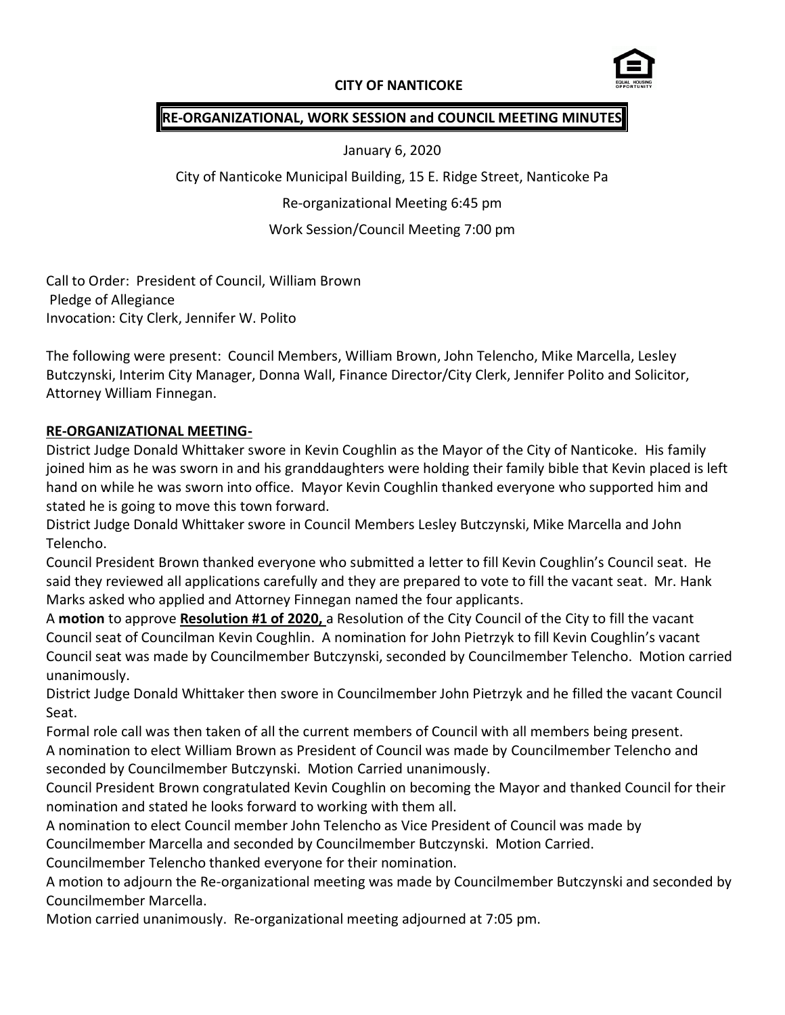# **CITY OF NANTICOKE**



### **RE-ORGANIZATIONAL, WORK SESSION and COUNCIL MEETING MINUTES**

January 6, 2020

City of Nanticoke Municipal Building, 15 E. Ridge Street, Nanticoke Pa

Re-organizational Meeting 6:45 pm

Work Session/Council Meeting 7:00 pm

Call to Order: President of Council, William Brown Pledge of Allegiance Invocation: City Clerk, Jennifer W. Polito

The following were present: Council Members, William Brown, John Telencho, Mike Marcella, Lesley Butczynski, Interim City Manager, Donna Wall, Finance Director/City Clerk, Jennifer Polito and Solicitor, Attorney William Finnegan.

### **RE-ORGANIZATIONAL MEETING-**

District Judge Donald Whittaker swore in Kevin Coughlin as the Mayor of the City of Nanticoke. His family joined him as he was sworn in and his granddaughters were holding their family bible that Kevin placed is left hand on while he was sworn into office. Mayor Kevin Coughlin thanked everyone who supported him and stated he is going to move this town forward.

District Judge Donald Whittaker swore in Council Members Lesley Butczynski, Mike Marcella and John Telencho.

Council President Brown thanked everyone who submitted a letter to fill Kevin Coughlin's Council seat. He said they reviewed all applications carefully and they are prepared to vote to fill the vacant seat. Mr. Hank Marks asked who applied and Attorney Finnegan named the four applicants.

A **motion** to approve **Resolution #1 of 2020,** a Resolution of the City Council of the City to fill the vacant Council seat of Councilman Kevin Coughlin. A nomination for John Pietrzyk to fill Kevin Coughlin's vacant Council seat was made by Councilmember Butczynski, seconded by Councilmember Telencho. Motion carried unanimously.

District Judge Donald Whittaker then swore in Councilmember John Pietrzyk and he filled the vacant Council Seat.

Formal role call was then taken of all the current members of Council with all members being present. A nomination to elect William Brown as President of Council was made by Councilmember Telencho and seconded by Councilmember Butczynski. Motion Carried unanimously.

Council President Brown congratulated Kevin Coughlin on becoming the Mayor and thanked Council for their nomination and stated he looks forward to working with them all.

A nomination to elect Council member John Telencho as Vice President of Council was made by Councilmember Marcella and seconded by Councilmember Butczynski. Motion Carried.

Councilmember Telencho thanked everyone for their nomination.

A motion to adjourn the Re-organizational meeting was made by Councilmember Butczynski and seconded by Councilmember Marcella.

Motion carried unanimously. Re-organizational meeting adjourned at 7:05 pm.